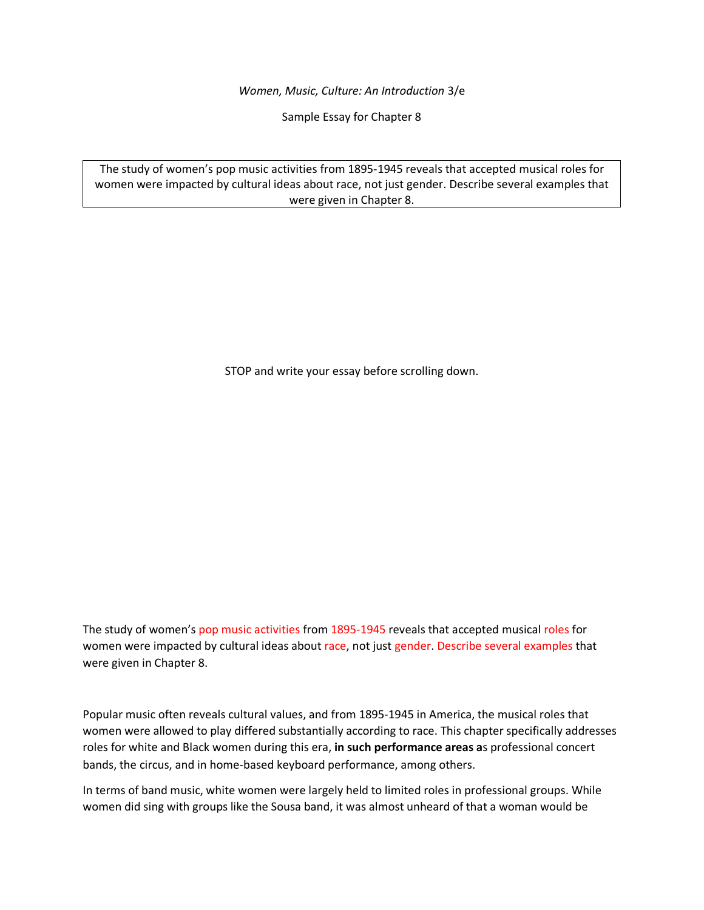*Women, Music, Culture: An Introduction* 3/e

Sample Essay for Chapter 8

The study of women's pop music activities from 1895-1945 reveals that accepted musical roles for women were impacted by cultural ideas about race, not just gender. Describe several examples that were given in Chapter 8.

STOP and write your essay before scrolling down.

The study of women's pop music activities from 1895-1945 reveals that accepted musical roles for women were impacted by cultural ideas about race, not just gender. Describe several examples that were given in Chapter 8.

Popular music often reveals cultural values, and from 1895-1945 in America, the musical roles that women were allowed to play differed substantially according to race. This chapter specifically addresses roles for white and Black women during this era, **in such performance areas a**s professional concert bands, the circus, and in home-based keyboard performance, among others.

In terms of band music, white women were largely held to limited roles in professional groups. While women did sing with groups like the Sousa band, it was almost unheard of that a woman would be